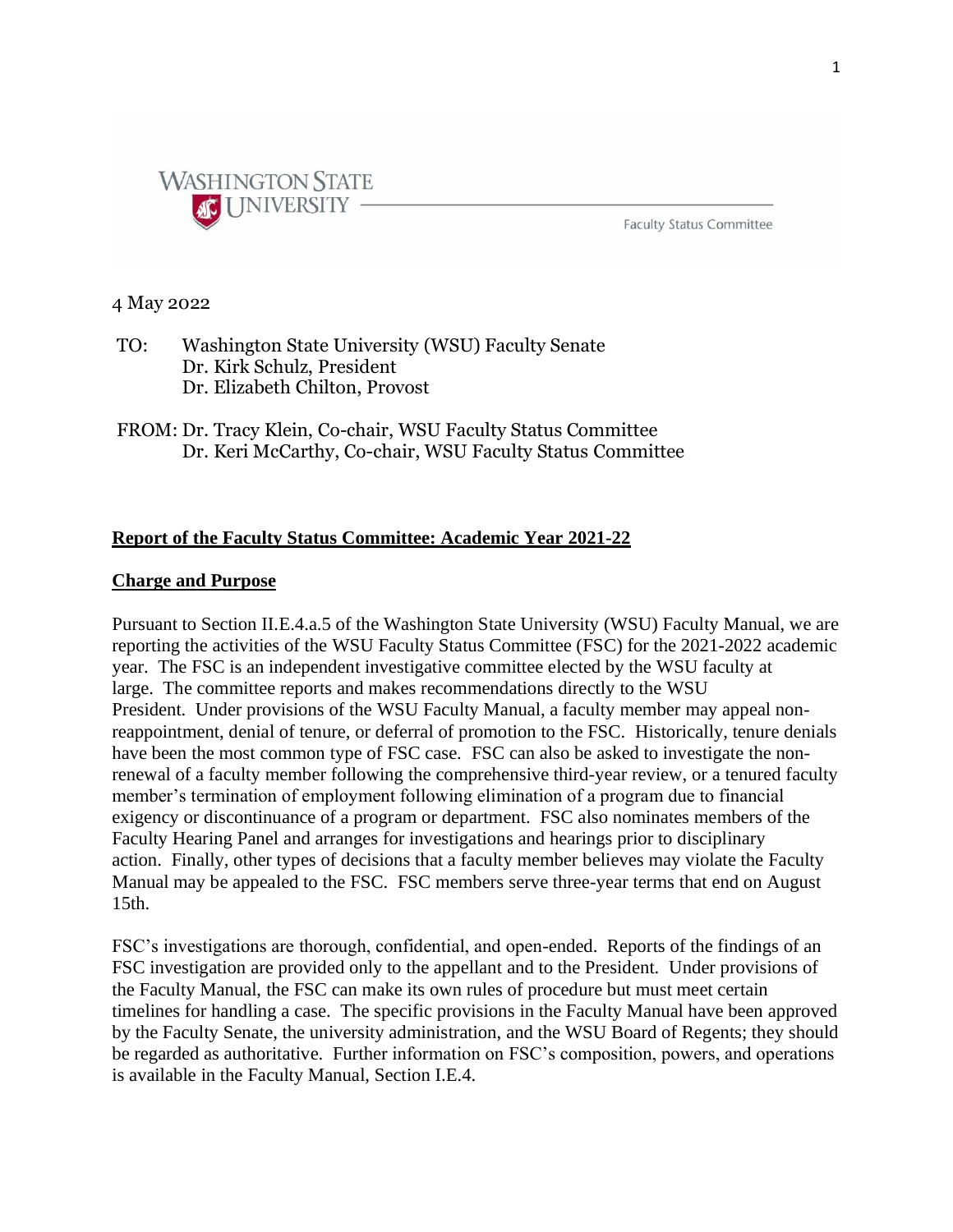

**Faculty Status Committee** 

## 4 May 2022

- TO: Washington State University (WSU) Faculty Senate Dr. Kirk Schulz, President Dr. Elizabeth Chilton, Provost
- FROM: Dr. Tracy Klein, Co-chair, WSU Faculty Status Committee Dr. Keri McCarthy, Co-chair, WSU Faculty Status Committee

# **Report of the Faculty Status Committee: Academic Year 2021-22**

### **Charge and Purpose**

Pursuant to Section II.E.4.a.5 of the Washington State University (WSU) Faculty Manual, we are reporting the activities of the WSU Faculty Status Committee (FSC) for the 2021-2022 academic year. The FSC is an independent investigative committee elected by the WSU faculty at large. The committee reports and makes recommendations directly to the WSU President. Under provisions of the WSU Faculty Manual, a faculty member may appeal nonreappointment, denial of tenure, or deferral of promotion to the FSC. Historically, tenure denials have been the most common type of FSC case. FSC can also be asked to investigate the nonrenewal of a faculty member following the comprehensive third-year review, or a tenured faculty member's termination of employment following elimination of a program due to financial exigency or discontinuance of a program or department. FSC also nominates members of the Faculty Hearing Panel and arranges for investigations and hearings prior to disciplinary action. Finally, other types of decisions that a faculty member believes may violate the Faculty Manual may be appealed to the FSC. FSC members serve three-year terms that end on August 15th.

FSC's investigations are thorough, confidential, and open-ended. Reports of the findings of an FSC investigation are provided only to the appellant and to the President. Under provisions of the Faculty Manual, the FSC can make its own rules of procedure but must meet certain timelines for handling a case. The specific provisions in the Faculty Manual have been approved by the Faculty Senate, the university administration, and the WSU Board of Regents; they should be regarded as authoritative. Further information on FSC's composition, powers, and operations is available in the Faculty Manual, Section I.E.4.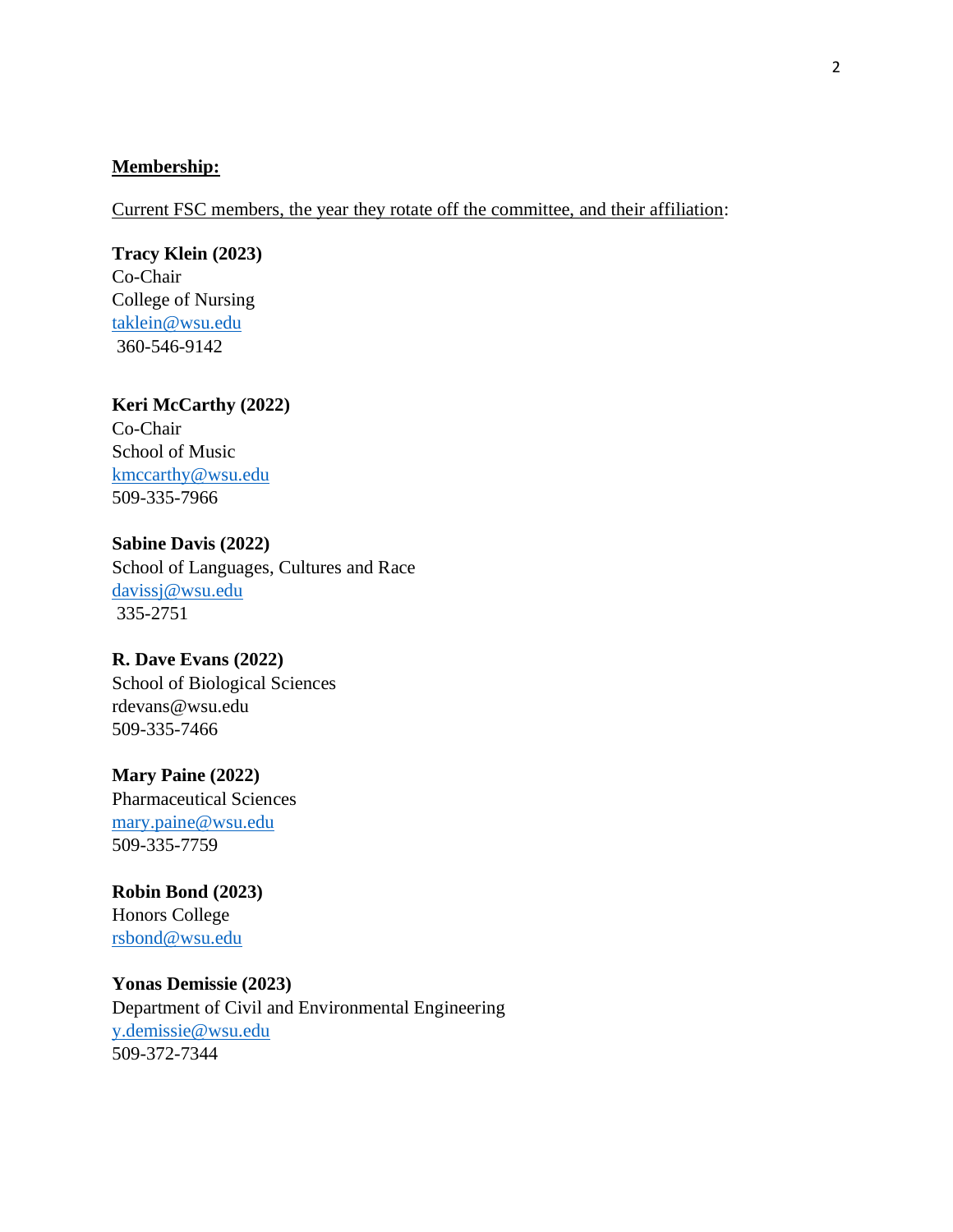## **Membership:**

Current FSC members, the year they rotate off the committee, and their affiliation:

### **Tracy Klein (2023)**

Co-Chair College of Nursing [taklein@wsu.edu](mailto:taklein@wsu.edu) 360-546-9142

# **Keri McCarthy (2022)**

Co-Chair School of Music [kmccarthy@wsu.edu](mailto:kmccarthy@wsu.edu) 509-335-7966

**Sabine Davis (2022)** School of Languages, Cultures and Race [davissj@wsu.edu](mailto:davissj@wsu.edu) 335-2751

## **R. Dave Evans (2022)**

School of Biological Sciences rdevans@wsu.edu 509-335-7466

#### **Mary Paine (2022)**

Pharmaceutical Sciences [mary.paine@wsu.edu](mailto:mary.paine@wsu.edu) 509-335-7759

**Robin Bond (2023)** Honors College [rsbond@wsu.edu](mailto:rsbond@wsu.edu)

**Yonas Demissie (2023)** Department of Civil and Environmental Engineering [y.demissie@wsu.edu](mailto:y.demissie@wsu.edu) 509-372-7344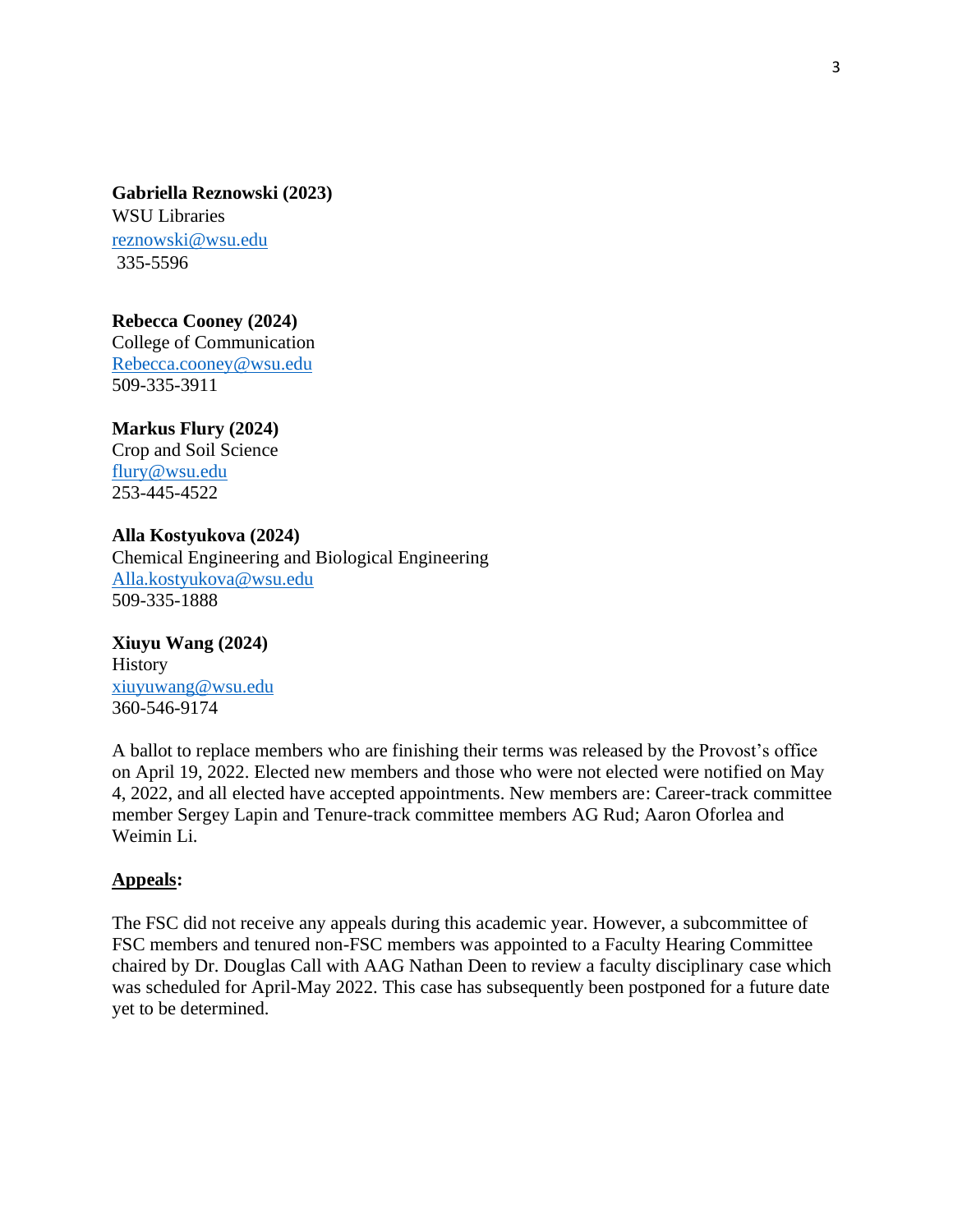**Gabriella Reznowski (2023)** WSU Libraries [reznowski@wsu.edu](mailto:reznowski@wsu.edu) 335-5596

**Rebecca Cooney (2024)** College of Communication [Rebecca.cooney@wsu.edu](mailto:Rebecca.cooney@wsu.edu) 509-335-3911

**Markus Flury (2024)** Crop and Soil Science [flury@wsu.edu](mailto:flury@wsu.edu) 253-445-4522

**Alla Kostyukova (2024)** Chemical Engineering and Biological Engineering [Alla.kostyukova@wsu.edu](mailto:Alla.kostyukova@wsu.edu) 509-335-1888

**Xiuyu Wang (2024) History** [xiuyuwang@wsu.edu](mailto:xiuyuwang@wsu.edu) 360-546-9174

A ballot to replace members who are finishing their terms was released by the Provost's office on April 19, 2022. Elected new members and those who were not elected were notified on May 4, 2022, and all elected have accepted appointments. New members are: Career-track committee member Sergey Lapin and Tenure-track committee members AG Rud; Aaron Oforlea and Weimin Li.

# **Appeals:**

The FSC did not receive any appeals during this academic year. However, a subcommittee of FSC members and tenured non-FSC members was appointed to a Faculty Hearing Committee chaired by Dr. Douglas Call with AAG Nathan Deen to review a faculty disciplinary case which was scheduled for April-May 2022. This case has subsequently been postponed for a future date yet to be determined.